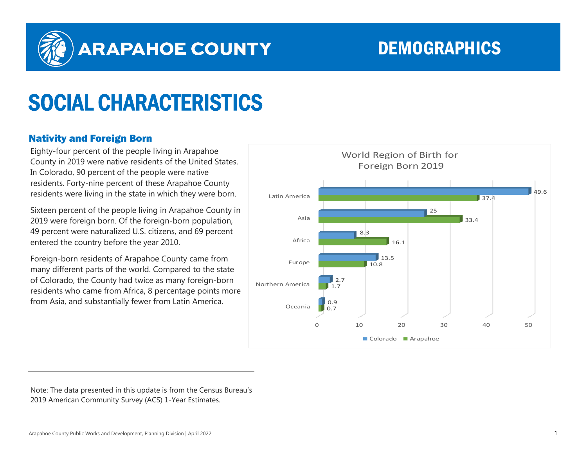

## ARAPAHOE COUNTY DEMOGRAPHICS

# SOCIAL CHARACTERISTICS

### Nativity and Foreign Born

Eighty-four percent of the people living in Arapahoe County in 2019 were native residents of the United States. In Colorado, 90 percent of the people were native residents. Forty-nine percent of these Arapahoe County residents were living in the state in which they were born.

Sixteen percent of the people living in Arapahoe County in 2019 were foreign born. Of the foreign-born population, 49 percent were naturalized U.S. citizens, and 69 percent entered the country before the year 2010.

Foreign-born residents of Arapahoe County came from many different parts of the world. Compared to the state of Colorado, the County had twice as many foreign-born residents who came from Africa, 8 percentage points more from Asia, and substantially fewer from Latin America.



Note: The data presented in this update is from the Census Bureau's 2019 American Community Survey (ACS) 1-Year Estimates.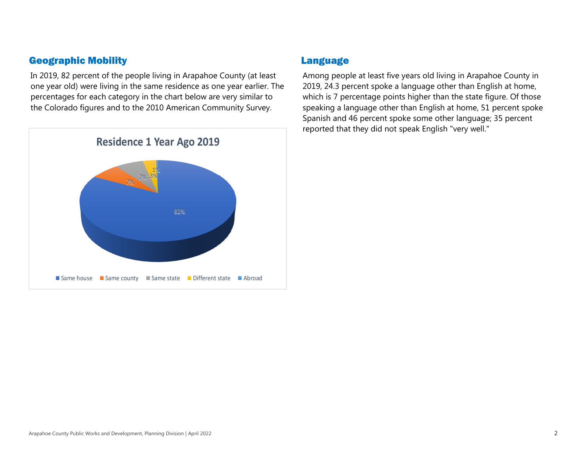#### Geographic Mobility

In 2019, 82 percent of the people living in Arapahoe County (at least one year old) were living in the same residence as one year earlier. The percentages for each category in the chart below are very similar to the Colorado figures and to the 2010 American Community Survey.



#### Language

Among people at least five years old living in Arapahoe County in 2019, 24.3 percent spoke a language other than English at home, which is 7 percentage points higher than the state figure. Of those speaking a language other than English at home, 51 percent spoke Spanish and 46 percent spoke some other language; 35 percent reported that they did not speak English "very well."